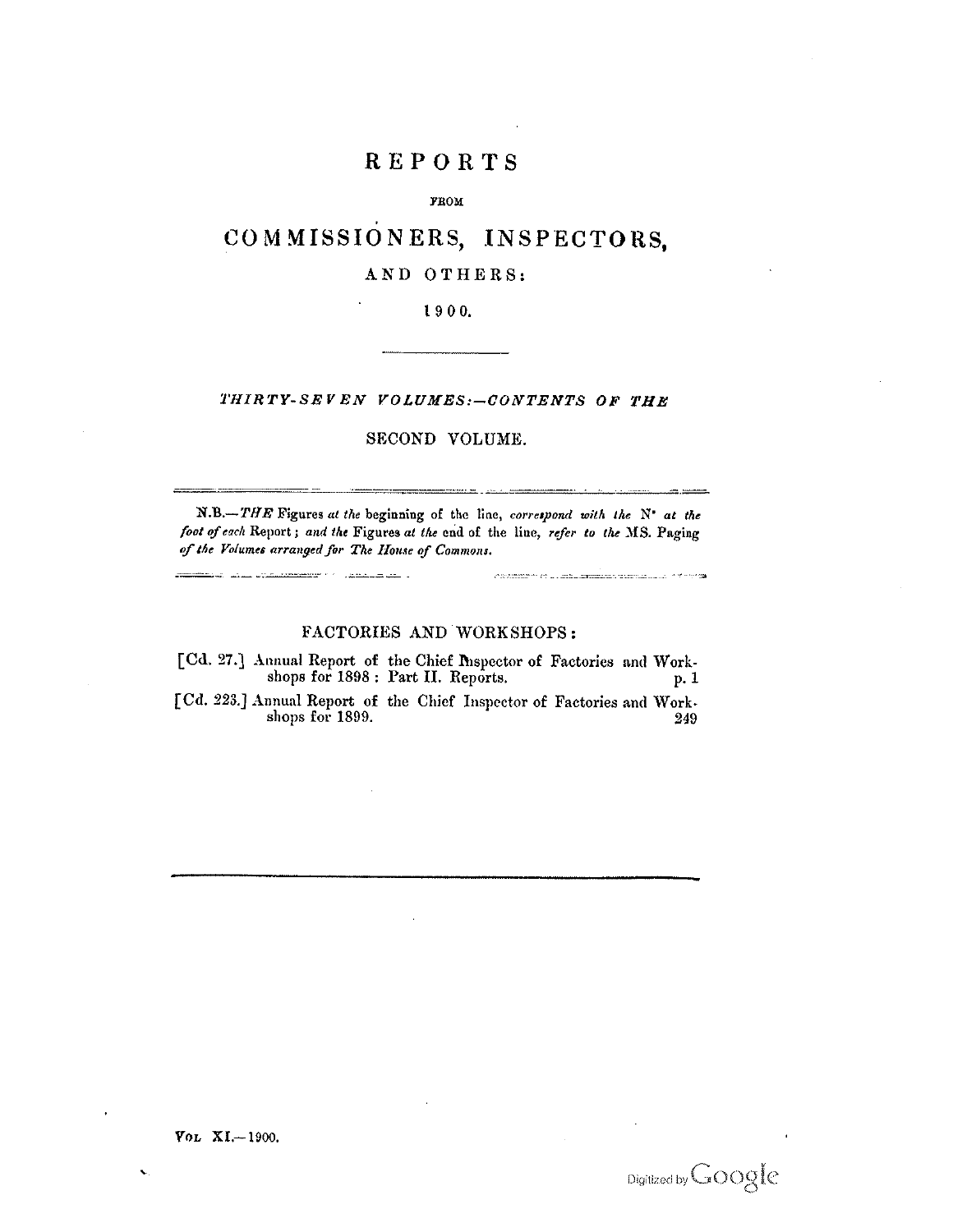## REPORTS

#### **FROM**

# COMMISSIONERS, INSPECTORS,

## AND OTHERS:

#### 1900.

## THIRTY-SEVEN VOLUMES:-CONTENTS OF THE

### SECOND VOLUME.

<u>aanvaloisen alueen valtaa kuuluusaalain</u>

 $\label{eq:main} \textit{infinite} \; \textit{infinite} \; \textit{infinite} \; \textit{infinite} \; \textit{infinite} \; \textit{infinite} \; \textit{infinite} \; \textit{infinite} \; \textit{infinite} \; \textit{infinite} \; \textit{infinite} \; \textit{infinite} \; \textit{infinite} \; \textit{infinite} \; \textit{infinite} \; \textit{infinite} \; \textit{infinite} \; \textit{infinite} \; \textit{infinite} \; \textit{infinite} \; \textit{infinite} \; \textit{infinite} \; \textit{infinite} \; \textit{infinite$ 

N.B.-THE Figures at the beginning of the line, correspond with the N' at the foot of each Report; and the Figures at the end of the line, refer to the MS. Paging of the Volumes arranged for The House of Commons.

<u>maaliku kuni kansaan jarratti kansaa ja</u>

#### FACTORIES AND WORKSHOPS:

[Cd. 27.] Annual Report of the Chief Inspector of Factories and Workshops for 1898 : Part II. Reports. p. 1

[Cd. 223.] Annual Report of the Chief Inspector of Factories and Workshops for 1899. 249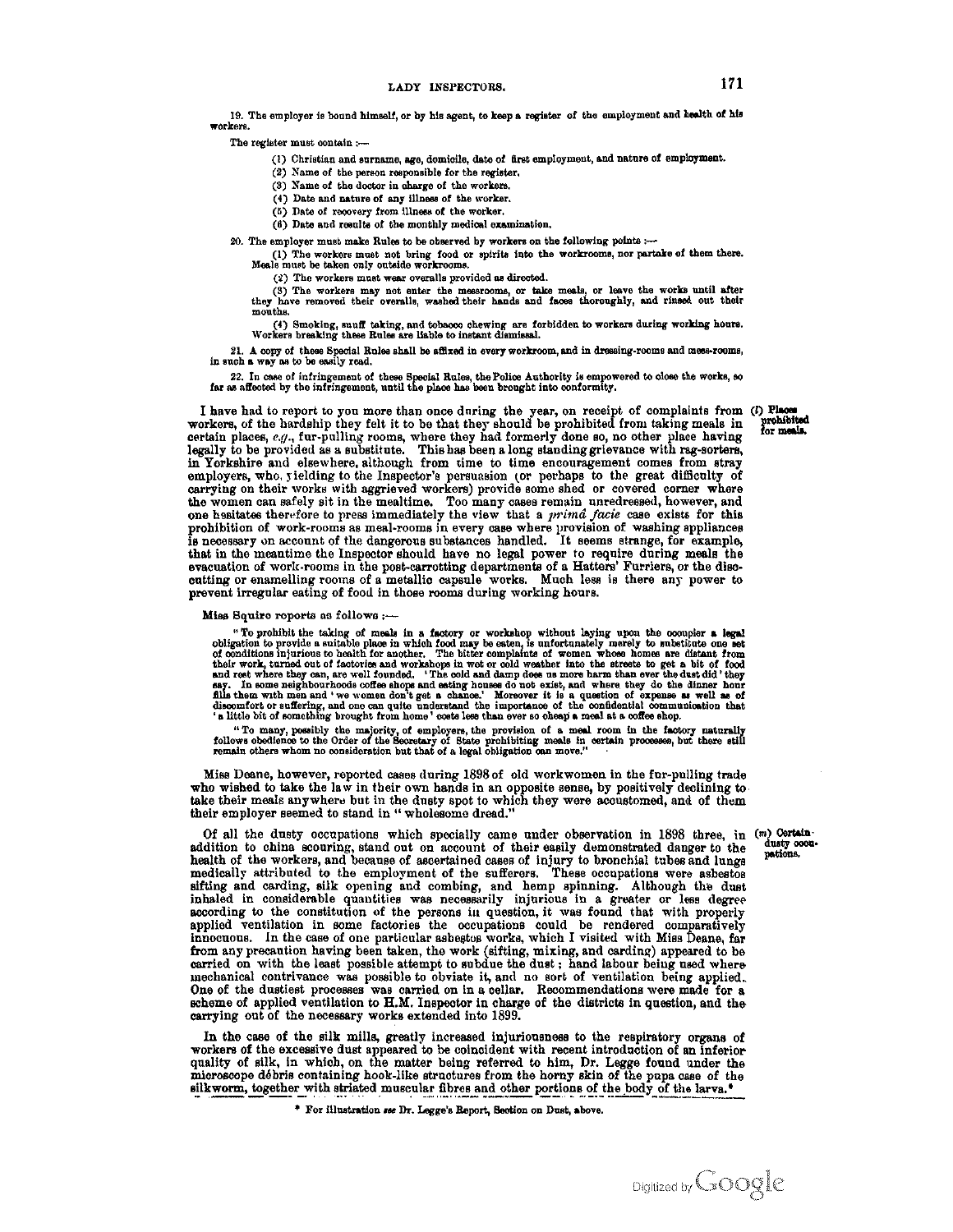19. The employer is bound himself, or by his agent, to keep a register of the employment and health of his  $\blacksquare$ orkera

The register must contain :-

- (1) Christian and surname, age, domicile, date of first employment, and nature of employment.
- (2) Name of the person responsible for the register.
- (3) Name of the doctor in charge of the workers.
- (4) Date and nature of any illness of the worker.
- (5) Date of recovery from illness of the worker.
- (6) Date and results of the monthly medical examination.
- 20. The employer must make Rules to be observed by workers on the following points :-

The workers must not bring food or spirits into the workrooms, nor partake of them there.<br>Meals must be taken only outside workrooms.

(2) The workers must wear overalls provided as directed.

(3) The workers may not enter the messrooms, or take meals, or leave the works until after they have removed their overalls, washed their hands and faces thoroughly, and rinsed out their mouths.

(4) Smoking, snuff taking, and tobacco chewing are forbidden to workers during working hours.<br>Workers breaking these Rules are liable to instant dismissal.

21. A copy of these Special Rules shall be affixed in every workroom, and in dressing-rooms and mess-rooms, in such a way as to be easily read.

22. In case of infringement of these Special Rules, the Police Authority is empowered to close the works, so far as affected by the infringement, until the place has been brought into conformity.

I have had to report to you more than once during the year, on receipt of complaints from (i) Place workers, of the hardship they felt it to be that they should be prohibited from taking meals in prohibit certain places, e.g., fur-pulling rooms, where they had formerly done so, no other place having<br>legally to be provided as a substitute. This has been a long standing grievance with rag-sorters, in Yorkshire and elsewhere although from time to time encouragement comes from stray employers, who, yielding to the Inspector's persuasion (or perhaps to the great difficulty of carrying on their works with aggrieved workers) provide some shed or covered corner where the women can safely sit in the mealtime. Too many cases remain unredressed, however, and<br>one hesitates therefore to press immediately the view that a *prima facie* case exists for this prohibition of work-rooms as meal-rooms in every case where provision of washing appliances is necessary on account of the dangerous substances handled. It seems strange, for example, that in the meantime the Inspector should have no legal power to require during meals the evacuation of work-rooms in the post-carrotting departments of a Hatters' Furriers, or the disccutting or enamelling rooms of a metallic capsule works. Much less is there any power to prevent irregular eating of food in those rooms during working hours.

#### Miss Squire reports as follows :-

"To prohibit the taking of meals in a factory or workshop without laying upon the occupier a legal<br>obligation to provide a suitable place in which food may be eaten, is unfortunately merely to substitute one set<br>of condit 's little bit of something brought from home' costs less than ever so cheap a meal at a coffee shop.

"To many, possibly the majority, of employers, the provision of a meal room in the factory naturally follows obedience to the Order of the Secretary of State prohibiting meals in certain processes, but there still remain

Miss Deane, however, reported cases during 1898 of old workwomen in the fur-pulling trade who wished to take the law in their own hands in an opposite sense, by positively declining to take their meals anywhere but in the dusty spot to which they were accustomed, and of them their employer seemed to stand in "wholesome dread."

Of all the dusty occupations which specially came under observation in 1898 three, in (m) Certain addition to china scouring, stand out on account of their easily demonstrated danger to the health of the workers, and because of ascertained cases of injury to bronchial tubes and lungs medically attributed to the employment of the sufferers. These occupations were asbestos sifting and carding, silk opening and combing, and hemp spinning. Although the dust inhaled in considerable quantities was necessarily injurious in a greater or less degree according to the constitution of the persons in question, it was found that with properly applied ventilation in some factories the occupations could be rendered comparatively innocuous. In the case of one particular asbestos works, which I visited with Miss Deane, far<br>from any precaution having been taken, the work (sifting, mixing, and carding) appeared to be carried on with the least possible attempt to subdue the dust; hand labour being used where mechanical contrivance was possible to obviate it, and no sort of ventilation being applied. One of the dustiest processes was carried on in a cellar. Recommendations were made for a scheme of applied ventilation to H.M. Inspector in charge of the districts in question, and the carrying out of the necessary works extended into 1899.

In the case of the silk mills, greatly increased injuriousness to the respiratory organs of workers of the excessive dust appeared to be coincident with recent introduction of an inferior quality of silk, in which, on the matter being referred to him, Dr. Legge found under the microscope débris containing hook-like structures from the horny skin of the pupa case of the silkworm, together with striated muscular fibres and other portions of the body of the larva.<sup>\*</sup>

\* For illustration see Dr. Legge's Report, Section on Dust, above.

prohibited<br>for meals,

dusty cooupations.